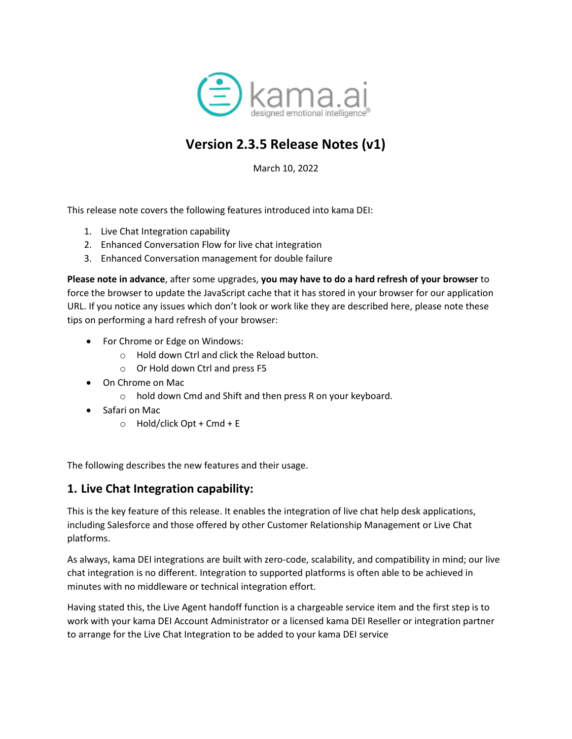

# **Version 2.3.5 Release Notes (v1)**

March 10, 2022

This release note covers the following features introduced into kama DEI:

- 1. Live Chat Integration capability
- 2. Enhanced Conversation Flow for live chat integration
- 3. Enhanced Conversation management for double failure

**Please note in advance**, after some upgrades, **you may have to do a hard refresh of your browser** to force the browser to update the JavaScript cache that it has stored in your browser for our application URL. If you notice any issues which don't look or work like they are described here, please note these tips on performing a hard refresh of your browser:

- For Chrome or Edge on Windows:
	- o Hold down Ctrl and click the Reload button.
	- o Or Hold down Ctrl and press F5
- On Chrome on Mac
	- o hold down Cmd and Shift and then press R on your keyboard.
- Safari on Mac
	- $\circ$  Hold/click Opt + Cmd + E

The following describes the new features and their usage.

## **1. Live Chat Integration capability:**

This is the key feature of this release. It enables the integration of live chat help desk applications, including Salesforce and those offered by other Customer Relationship Management or Live Chat platforms.

As always, kama DEI integrations are built with zero-code, scalability, and compatibility in mind; our live chat integration is no different. Integration to supported platforms is often able to be achieved in minutes with no middleware or technical integration effort.

Having stated this, the Live Agent handoff function is a chargeable service item and the first step is to work with your kama DEI Account Administrator or a licensed kama DEI Reseller or integration partner to arrange for the Live Chat Integration to be added to your kama DEI service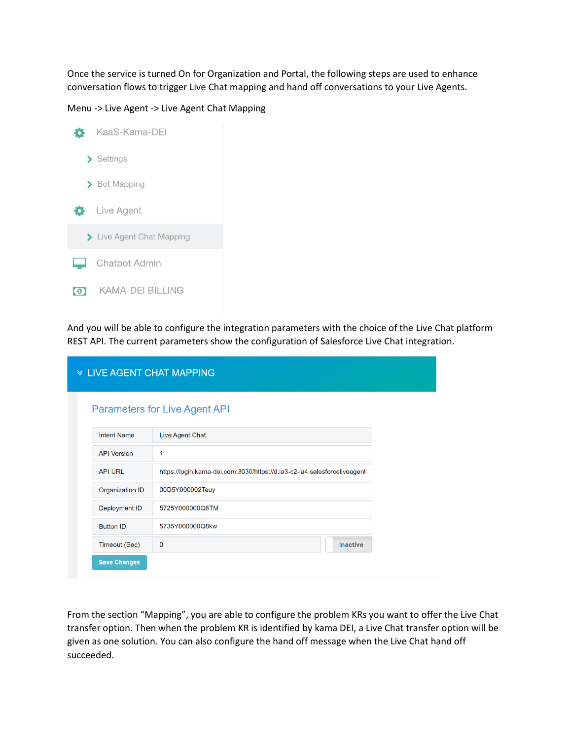Once the service is turned On for Organization and Portal, the following steps are used to enhance conversation flows to trigger Live Chat mapping and hand off conversations to your Live Agents.

Menu -> Live Agent -> Live Agent Chat Mapping



And you will be able to configure the integration parameters with the choice of the Live Chat platform REST API. The current parameters show the configuration of Salesforce Live Chat integration.

|                     | <b>  ≫ LIVE AGENT CHAT MAPPING</b>                                       |                 |  |
|---------------------|--------------------------------------------------------------------------|-----------------|--|
|                     | <b>Parameters for Live Agent API</b>                                     |                 |  |
| <b>Intent Name</b>  | Live Agent Chat                                                          |                 |  |
| <b>API Version</b>  | 1                                                                        |                 |  |
| <b>API URL</b>      | https://login.kama-dei.com:3030/https://d.la3-c2-ia4.salesforceliveagent |                 |  |
| Organization ID     | 00D5Y000002Teuy                                                          |                 |  |
| Deployment ID       | 5725Y000000Q8TM                                                          |                 |  |
| <b>Button ID</b>    | 5735Y000000Q8kw                                                          |                 |  |
| Timeout (Sec)       | 0                                                                        | <b>Inactive</b> |  |
| <b>Save Changes</b> |                                                                          |                 |  |

From the section "Mapping", you are able to configure the problem KRs you want to offer the Live Chat transfer option. Then when the problem KR is identified by kama DEI, a Live Chat transfer option will be given as one solution. You can also configure the hand off message when the Live Chat hand off succeeded.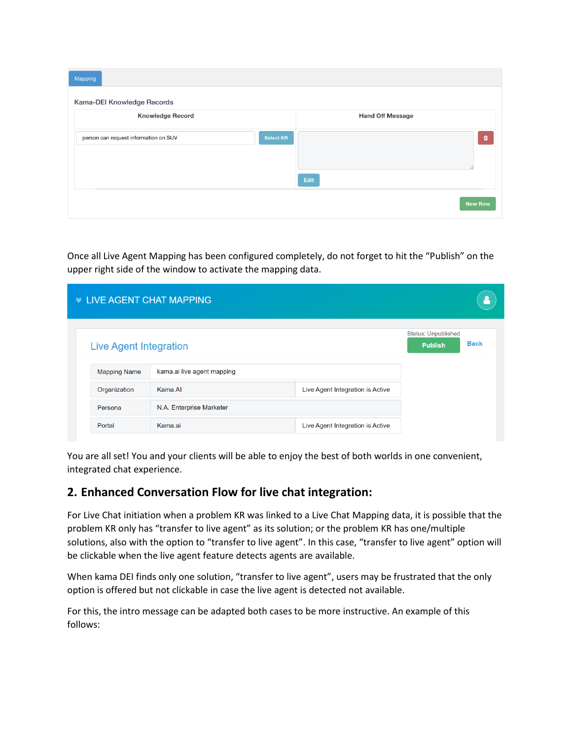| Mapping                               |                  |                         |                |  |  |  |  |  |  |
|---------------------------------------|------------------|-------------------------|----------------|--|--|--|--|--|--|
| Kama-DEI Knowledge Records            |                  |                         |                |  |  |  |  |  |  |
| <b>Knowledge Record</b>               |                  | <b>Hand Off Message</b> |                |  |  |  |  |  |  |
| person can request information on SUV | <b>Select KR</b> |                         | Û              |  |  |  |  |  |  |
|                                       |                  |                         |                |  |  |  |  |  |  |
|                                       |                  | Edit                    |                |  |  |  |  |  |  |
|                                       |                  |                         | <b>New Row</b> |  |  |  |  |  |  |
|                                       |                  |                         |                |  |  |  |  |  |  |

Once all Live Agent Mapping has been configured completely, do not forget to hit the "Publish" on the upper right side of the window to activate the mapping data.

| <b>  ≫ LIVE AGENT CHAT MAPPING</b> |                            |                                  |                                              |             |
|------------------------------------|----------------------------|----------------------------------|----------------------------------------------|-------------|
| <b>Live Agent Integration</b>      |                            |                                  | <b>Status: Unpublished</b><br><b>Publish</b> | <b>Back</b> |
| <b>Mapping Name</b>                | kama.ai live agent mapping |                                  |                                              |             |
| Organization                       | Kama.AI                    | Live Agent Integration is Active |                                              |             |
| Persona                            | N.A. Enterprise Marketer   |                                  |                                              |             |
| Portal                             | Kama.ai                    | Live Agent Integration is Active |                                              |             |

You are all set! You and your clients will be able to enjoy the best of both worlds in one convenient, integrated chat experience.

## **2. Enhanced Conversation Flow for live chat integration:**

For Live Chat initiation when a problem KR was linked to a Live Chat Mapping data, it is possible that the problem KR only has "transfer to live agent" as its solution; or the problem KR has one/multiple solutions, also with the option to "transfer to live agent". In this case, "transfer to live agent" option will be clickable when the live agent feature detects agents are available.

When kama DEI finds only one solution, "transfer to live agent", users may be frustrated that the only option is offered but not clickable in case the live agent is detected not available.

For this, the intro message can be adapted both cases to be more instructive. An example of this follows: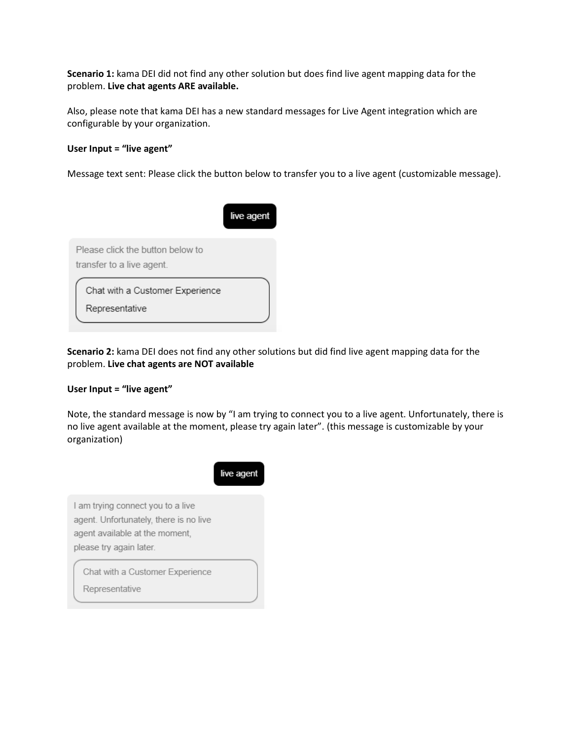**Scenario 1:** kama DEI did not find any other solution but does find live agent mapping data for the problem. **Live chat agents ARE available.**

Also, please note that kama DEI has a new standard messages for Live Agent integration which are configurable by your organization.

#### **User Input = "live agent"**

Message text sent: Please click the button below to transfer you to a live agent (customizable message).



**Scenario 2:** kama DEI does not find any other solutions but did find live agent mapping data for the problem. **Live chat agents are NOT available**

#### **User Input = "live agent"**

Note, the standard message is now by "I am trying to connect you to a live agent. Unfortunately, there is no live agent available at the moment, please try again later". (this message is customizable by your organization)